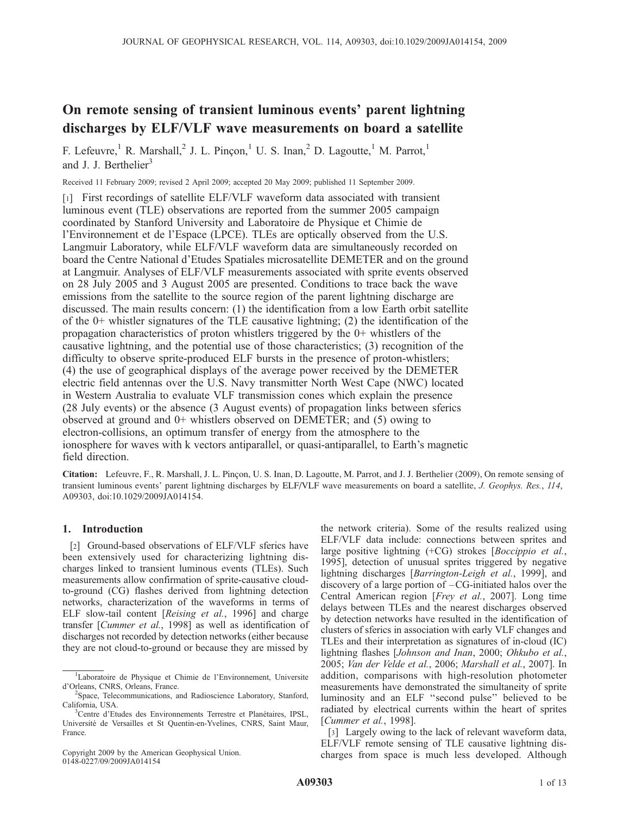# On remote sensing of transient luminous events' parent lightning discharges by ELF/VLF wave measurements on board a satellite

F. Lefeuvre,<sup>1</sup> R. Marshall,<sup>2</sup> J. L. Pincon,<sup>1</sup> U. S. Inan,<sup>2</sup> D. Lagoutte,<sup>1</sup> M. Parrot,<sup>1</sup> and J. J. Berthelier<sup>3</sup>

Received 11 February 2009; revised 2 April 2009; accepted 20 May 2009; published 11 September 2009.

[1] First recordings of satellite ELF/VLF waveform data associated with transient luminous event (TLE) observations are reported from the summer 2005 campaign coordinated by Stanford University and Laboratoire de Physique et Chimie de l'Environnement et de l'Espace (LPCE). TLEs are optically observed from the U.S. Langmuir Laboratory, while ELF/VLF waveform data are simultaneously recorded on board the Centre National d'Etudes Spatiales microsatellite DEMETER and on the ground at Langmuir. Analyses of ELF/VLF measurements associated with sprite events observed on 28 July 2005 and 3 August 2005 are presented. Conditions to trace back the wave emissions from the satellite to the source region of the parent lightning discharge are discussed. The main results concern: (1) the identification from a low Earth orbit satellite of the 0+ whistler signatures of the TLE causative lightning; (2) the identification of the propagation characteristics of proton whistlers triggered by the 0+ whistlers of the causative lightning, and the potential use of those characteristics; (3) recognition of the difficulty to observe sprite-produced ELF bursts in the presence of proton-whistlers; (4) the use of geographical displays of the average power received by the DEMETER electric field antennas over the U.S. Navy transmitter North West Cape (NWC) located in Western Australia to evaluate VLF transmission cones which explain the presence (28 July events) or the absence (3 August events) of propagation links between sferics observed at ground and 0+ whistlers observed on DEMETER; and (5) owing to electron-collisions, an optimum transfer of energy from the atmosphere to the ionosphere for waves with k vectors antiparallel, or quasi-antiparallel, to Earth's magnetic field direction.

Citation: Lefeuvre, F., R. Marshall, J. L. Pinçon, U. S. Inan, D. Lagoutte, M. Parrot, and J. J. Berthelier (2009), On remote sensing of transient luminous events' parent lightning discharges by ELF/VLF wave measurements on board a satellite, J. Geophys. Res., 114, A09303, doi:10.1029/2009JA014154.

# 1. Introduction

[2] Ground-based observations of ELF/VLF sferics have been extensively used for characterizing lightning discharges linked to transient luminous events (TLEs). Such measurements allow confirmation of sprite-causative cloudto-ground (CG) flashes derived from lightning detection networks, characterization of the waveforms in terms of ELF slow-tail content [Reising et al., 1996] and charge transfer [Cummer et al., 1998] as well as identification of discharges not recorded by detection networks (either because they are not cloud-to-ground or because they are missed by

Copyright 2009 by the American Geophysical Union. 0148-0227/09/2009JA014154

the network criteria). Some of the results realized using ELF/VLF data include: connections between sprites and large positive lightning (+CG) strokes [Boccippio et al., 1995], detection of unusual sprites triggered by negative lightning discharges [*Barrington-Leigh et al.*, 1999], and discovery of a large portion of –CG-initiated halos over the Central American region [Frey et al., 2007]. Long time delays between TLEs and the nearest discharges observed by detection networks have resulted in the identification of clusters of sferics in association with early VLF changes and TLEs and their interpretation as signatures of in-cloud (IC) lightning flashes [Johnson and Inan, 2000; Ohkubo et al., 2005; Van der Velde et al., 2006; Marshall et al., 2007]. In addition, comparisons with high-resolution photometer measurements have demonstrated the simultaneity of sprite luminosity and an ELF ''second pulse'' believed to be radiated by electrical currents within the heart of sprites [Cummer et al., 1998].

[3] Largely owing to the lack of relevant waveform data, ELF/VLF remote sensing of TLE causative lightning discharges from space is much less developed. Although

<sup>&</sup>lt;sup>1</sup>Laboratoire de Physique et Chimie de l'Environnement, Universite d'Orleans, CNRS, Orleans, France.

<sup>&</sup>lt;sup>2</sup>Space, Telecommunications, and Radioscience Laboratory, Stanford, California, USA.

<sup>&</sup>lt;sup>3</sup>Centre d'Etudes des Environnements Terrestre et Planétaires, IPSL, Université de Versailles et St Quentin-en-Yvelines, CNRS, Saint Maur, France.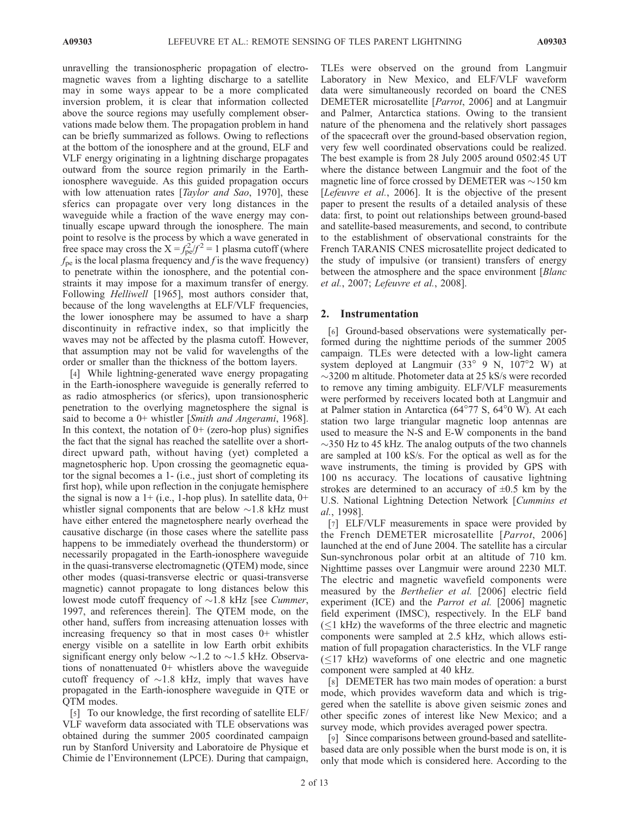unravelling the transionospheric propagation of electromagnetic waves from a lighting discharge to a satellite may in some ways appear to be a more complicated inversion problem, it is clear that information collected above the source regions may usefully complement observations made below them. The propagation problem in hand can be briefly summarized as follows. Owing to reflections at the bottom of the ionosphere and at the ground, ELF and VLF energy originating in a lightning discharge propagates outward from the source region primarily in the Earthionosphere waveguide. As this guided propagation occurs with low attenuation rates [*Taylor and Sao*, 1970], these sferics can propagate over very long distances in the waveguide while a fraction of the wave energy may continually escape upward through the ionosphere. The main point to resolve is the process by which a wave generated in free space may cross the  $X = f_{\text{pe}}^2/f^2 = 1$  plasma cutoff (where  $f_{\text{pe}}$  is the local plasma frequency and f is the wave frequency) to penetrate within the ionosphere, and the potential constraints it may impose for a maximum transfer of energy. Following Helliwell [1965], most authors consider that, because of the long wavelengths at ELF/VLF frequencies, the lower ionosphere may be assumed to have a sharp discontinuity in refractive index, so that implicitly the waves may not be affected by the plasma cutoff. However, that assumption may not be valid for wavelengths of the order or smaller than the thickness of the bottom layers.

[4] While lightning-generated wave energy propagating in the Earth-ionosphere waveguide is generally referred to as radio atmospherics (or sferics), upon transionospheric penetration to the overlying magnetosphere the signal is said to become a 0+ whistler [Smith and Angerami, 1968]. In this context, the notation of  $0+$  (zero-hop plus) signifies the fact that the signal has reached the satellite over a shortdirect upward path, without having (yet) completed a magnetospheric hop. Upon crossing the geomagnetic equator the signal becomes a 1- (i.e., just short of completing its first hop), while upon reflection in the conjugate hemisphere the signal is now a  $1+$  (i.e., 1-hop plus). In satellite data,  $0+$ whistler signal components that are below  $\sim$ 1.8 kHz must have either entered the magnetosphere nearly overhead the causative discharge (in those cases where the satellite pass happens to be immediately overhead the thunderstorm) or necessarily propagated in the Earth-ionosphere waveguide in the quasi-transverse electromagnetic (QTEM) mode, since other modes (quasi-transverse electric or quasi-transverse magnetic) cannot propagate to long distances below this lowest mode cutoff frequency of  $\sim$ 1.8 kHz [see *Cummer*, 1997, and references therein]. The QTEM mode, on the other hand, suffers from increasing attenuation losses with increasing frequency so that in most cases 0+ whistler energy visible on a satellite in low Earth orbit exhibits significant energy only below  $\sim$ 1.2 to  $\sim$ 1.5 kHz. Observations of nonattenuated 0+ whistlers above the waveguide cutoff frequency of  $\sim$ 1.8 kHz, imply that waves have propagated in the Earth-ionosphere waveguide in QTE or QTM modes.

[5] To our knowledge, the first recording of satellite ELF/ VLF waveform data associated with TLE observations was obtained during the summer 2005 coordinated campaign run by Stanford University and Laboratoire de Physique et Chimie de l'Environnement (LPCE). During that campaign,

TLEs were observed on the ground from Langmuir Laboratory in New Mexico, and ELF/VLF waveform data were simultaneously recorded on board the CNES DEMETER microsatellite [Parrot, 2006] and at Langmuir and Palmer, Antarctica stations. Owing to the transient nature of the phenomena and the relatively short passages of the spacecraft over the ground-based observation region, very few well coordinated observations could be realized. The best example is from 28 July 2005 around 0502:45 UT where the distance between Langmuir and the foot of the magnetic line of force crossed by DEMETER was  $\sim$ 150 km [*Lefeuvre et al.*, 2006]. It is the objective of the present paper to present the results of a detailed analysis of these data: first, to point out relationships between ground-based and satellite-based measurements, and second, to contribute to the establishment of observational constraints for the French TARANIS CNES microsatellite project dedicated to the study of impulsive (or transient) transfers of energy between the atmosphere and the space environment [Blanc et al., 2007; Lefeuvre et al., 2008].

#### 2. Instrumentation

[6] Ground-based observations were systematically performed during the nighttime periods of the summer 2005 campaign. TLEs were detected with a low-light camera system deployed at Langmuir  $(33^{\circ}$  9 N,  $107^{\circ}2$  W) at  $\sim$ 3200 m altitude. Photometer data at 25 kS/s were recorded to remove any timing ambiguity. ELF/VLF measurements were performed by receivers located both at Langmuir and at Palmer station in Antarctica  $(64^{\circ}77 \text{ S}, 64^{\circ}0 \text{ W})$ . At each station two large triangular magnetic loop antennas are used to measure the N-S and E-W components in the band  $\sim$ 350 Hz to 45 kHz. The analog outputs of the two channels are sampled at 100 kS/s. For the optical as well as for the wave instruments, the timing is provided by GPS with 100 ns accuracy. The locations of causative lightning strokes are determined to an accuracy of  $\pm 0.5$  km by the U.S. National Lightning Detection Network [Cummins et al., 1998].

[7] ELF/VLF measurements in space were provided by the French DEMETER microsatellite [Parrot, 2006] launched at the end of June 2004. The satellite has a circular Sun-synchronous polar orbit at an altitude of 710 km. Nighttime passes over Langmuir were around 2230 MLT. The electric and magnetic wavefield components were measured by the Berthelier et al. [2006] electric field experiment (ICE) and the *Parrot et al.* [2006] magnetic field experiment (IMSC), respectively. In the ELF band  $(\leq)$  kHz) the waveforms of the three electric and magnetic components were sampled at 2.5 kHz, which allows estimation of full propagation characteristics. In the VLF range  $(\leq)17$  kHz) waveforms of one electric and one magnetic component were sampled at 40 kHz.

[8] DEMETER has two main modes of operation: a burst mode, which provides waveform data and which is triggered when the satellite is above given seismic zones and other specific zones of interest like New Mexico; and a survey mode, which provides averaged power spectra.

[9] Since comparisons between ground-based and satellitebased data are only possible when the burst mode is on, it is only that mode which is considered here. According to the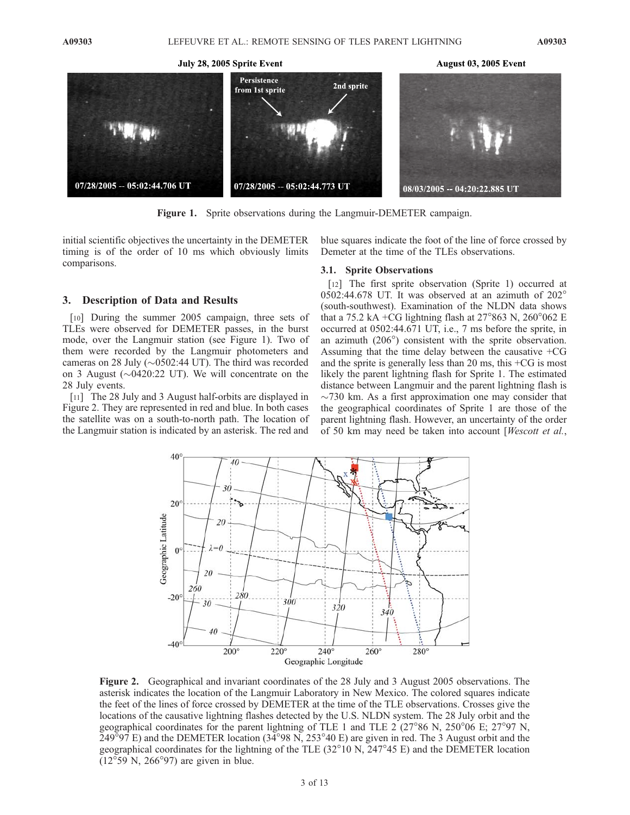July 28, 2005 Sprite Event



Figure 1. Sprite observations during the Langmuir-DEMETER campaign.

initial scientific objectives the uncertainty in the DEMETER timing is of the order of 10 ms which obviously limits comparisons.

## 3. Description of Data and Results

[10] During the summer 2005 campaign, three sets of TLEs were observed for DEMETER passes, in the burst mode, over the Langmuir station (see Figure 1). Two of them were recorded by the Langmuir photometers and cameras on 28 July ( $\sim$ 0502:44 UT). The third was recorded on 3 August ( $\sim$ 0420:22 UT). We will concentrate on the 28 July events.

[11] The 28 July and 3 August half-orbits are displayed in Figure 2. They are represented in red and blue. In both cases the satellite was on a south-to-north path. The location of the Langmuir station is indicated by an asterisk. The red and

blue squares indicate the foot of the line of force crossed by Demeter at the time of the TLEs observations.

#### 3.1. Sprite Observations

[12] The first sprite observation (Sprite 1) occurred at 0502:44.678 UT. It was observed at an azimuth of  $202^{\circ}$ (south-southwest). Examination of the NLDN data shows that a 75.2 kA +CG lightning flash at  $27^{\circ}863$  N,  $260^{\circ}062$  E occurred at 0502:44.671 UT, i.e., 7 ms before the sprite, in an azimuth  $(206^{\circ})$  consistent with the sprite observation. Assuming that the time delay between the causative +CG and the sprite is generally less than 20 ms, this +CG is most likely the parent lightning flash for Sprite 1. The estimated distance between Langmuir and the parent lightning flash is  $\sim$ 730 km. As a first approximation one may consider that the geographical coordinates of Sprite 1 are those of the parent lightning flash. However, an uncertainty of the order of 50 km may need be taken into account [Wescott et al.,



Figure 2. Geographical and invariant coordinates of the 28 July and 3 August 2005 observations. The asterisk indicates the location of the Langmuir Laboratory in New Mexico. The colored squares indicate the feet of the lines of force crossed by DEMETER at the time of the TLE observations. Crosses give the locations of the causative lightning flashes detected by the U.S. NLDN system. The 28 July orbit and the geographical coordinates for the parent lightning of TLE 1 and TLE 2 ( $27^{\circ}86$  N,  $250^{\circ}06$  E;  $27^{\circ}97$  N,  $249^{\circ}$ 97 E) and the DEMETER location (34 $^{\circ}$ 98 N, 253 $^{\circ}$ 40 E) are given in red. The 3 August orbit and the geographical coordinates for the lightning of the TLE  $(32^{\circ}10 \text{ N}, 247^{\circ}45 \text{ E})$  and the DEMETER location  $(12^{\circ}59 \text{ N}, 266^{\circ}97)$  are given in blue.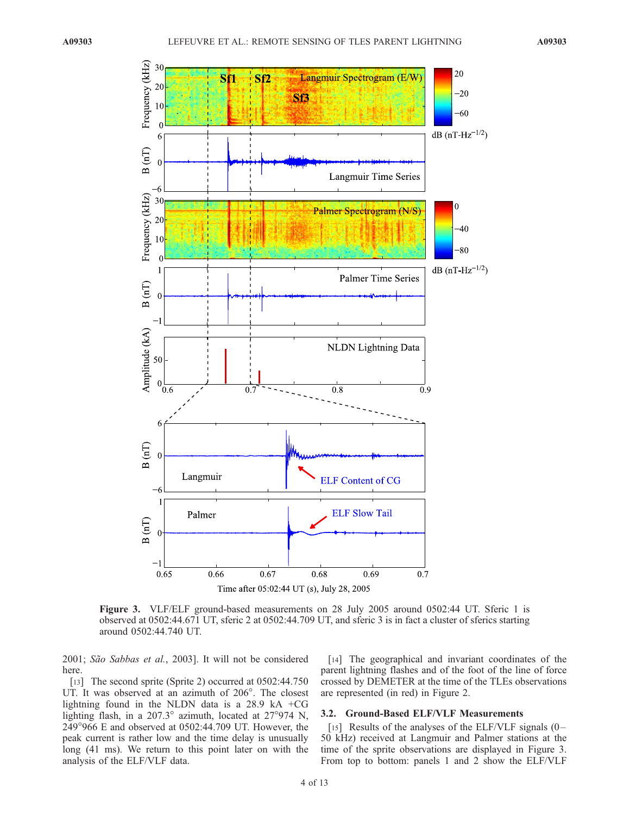

Figure 3. VLF/ELF ground-based measurements on 28 July 2005 around 0502:44 UT. Sferic 1 is observed at 0502:44.671 UT, sferic 2 at 0502:44.709 UT, and sferic 3 is in fact a cluster of sferics starting around 0502:44.740 UT.

2001; São Sabbas et al., 2003]. It will not be considered here.

[13] The second sprite (Sprite 2) occurred at 0502:44.750 UT. It was observed at an azimuth of 206°. The closest lightning found in the NLDN data is a 28.9 kA +CG lighting flash, in a 207.3 $^{\circ}$  azimuth, located at 27 $^{\circ}$ 974 N, 249966 E and observed at 0502:44.709 UT. However, the peak current is rather low and the time delay is unusually long (41 ms). We return to this point later on with the analysis of the ELF/VLF data.

[14] The geographical and invariant coordinates of the parent lightning flashes and of the foot of the line of force crossed by DEMETER at the time of the TLEs observations are represented (in red) in Figure 2.

# 3.2. Ground-Based ELF/VLF Measurements

[15] Results of the analyses of the ELF/VLF signals  $(0 -$ 50 kHz) received at Langmuir and Palmer stations at the time of the sprite observations are displayed in Figure 3. From top to bottom: panels 1 and 2 show the ELF/VLF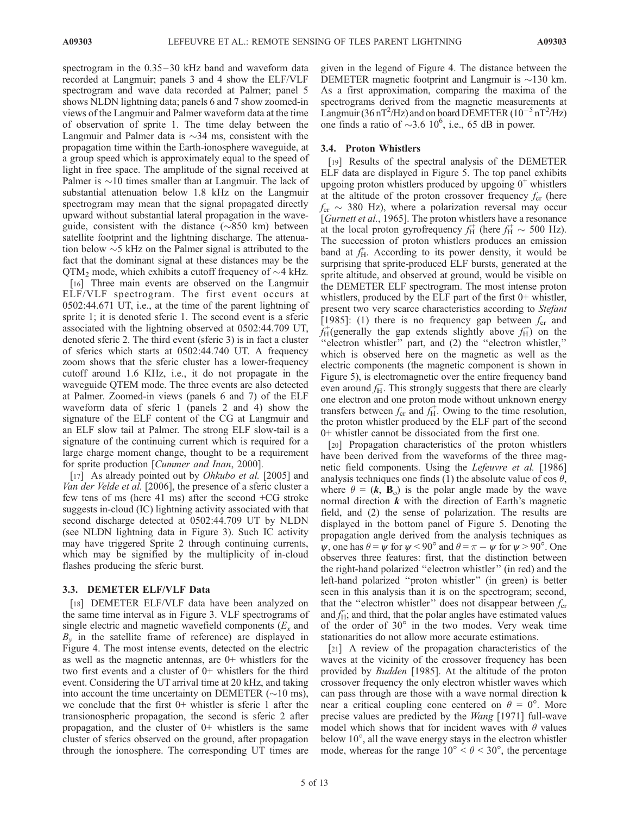spectrogram in the  $0.35-30$  kHz band and waveform data recorded at Langmuir; panels 3 and 4 show the ELF/VLF spectrogram and wave data recorded at Palmer; panel 5 shows NLDN lightning data; panels 6 and 7 show zoomed-in views of the Langmuir and Palmer waveform data at the time of observation of sprite 1. The time delay between the Langmuir and Palmer data is  $\sim$ 34 ms, consistent with the propagation time within the Earth-ionosphere waveguide, at a group speed which is approximately equal to the speed of light in free space. The amplitude of the signal received at Palmer is  $\sim$ 10 times smaller than at Langmuir. The lack of substantial attenuation below 1.8 kHz on the Langmuir spectrogram may mean that the signal propagated directly upward without substantial lateral propagation in the waveguide, consistent with the distance  $(\sim 850 \text{ km})$  between satellite footprint and the lightning discharge. The attenuation below  $\sim$  5 kHz on the Palmer signal is attributed to the fact that the dominant signal at these distances may be the  $QTM_2$  mode, which exhibits a cutoff frequency of  $\sim$ 4 kHz.

[16] Three main events are observed on the Langmuir ELF/VLF spectrogram. The first event occurs at 0502:44.671 UT, i.e., at the time of the parent lightning of sprite 1; it is denoted sferic 1. The second event is a sferic associated with the lightning observed at 0502:44.709 UT, denoted sferic 2. The third event (sferic 3) is in fact a cluster of sferics which starts at 0502:44.740 UT. A frequency zoom shows that the sferic cluster has a lower-frequency cutoff around 1.6 KHz, i.e., it do not propagate in the waveguide QTEM mode. The three events are also detected at Palmer. Zoomed-in views (panels 6 and 7) of the ELF waveform data of sferic 1 (panels 2 and 4) show the signature of the ELF content of the CG at Langmuir and an ELF slow tail at Palmer. The strong ELF slow-tail is a signature of the continuing current which is required for a large charge moment change, thought to be a requirement for sprite production [Cummer and Inan, 2000].

[17] As already pointed out by *Ohkubo et al.* [2005] and Van der Velde et al. [2006], the presence of a sferic cluster a few tens of ms (here 41 ms) after the second +CG stroke suggests in-cloud (IC) lightning activity associated with that second discharge detected at 0502:44.709 UT by NLDN (see NLDN lightning data in Figure 3). Such IC activity may have triggered Sprite 2 through continuing currents, which may be signified by the multiplicity of in-cloud flashes producing the sferic burst.

## 3.3. DEMETER ELF/VLF Data

[18] DEMETER ELF/VLF data have been analyzed on the same time interval as in Figure 3. VLF spectrograms of single electric and magnetic wavefield components  $(E_x$  and  $B<sub>v</sub>$  in the satellite frame of reference) are displayed in Figure 4. The most intense events, detected on the electric as well as the magnetic antennas, are 0+ whistlers for the two first events and a cluster of 0+ whistlers for the third event. Considering the UT arrival time at 20 kHz, and taking into account the time uncertainty on DEMETER ( $\sim$ 10 ms), we conclude that the first  $0+$  whistler is sferic 1 after the transionospheric propagation, the second is sferic 2 after propagation, and the cluster of  $0+$  whistlers is the same cluster of sferics observed on the ground, after propagation through the ionosphere. The corresponding UT times are

given in the legend of Figure 4. The distance between the DEMETER magnetic footprint and Langmuir is  $\sim$ 130 km. As a first approximation, comparing the maxima of the spectrograms derived from the magnetic measurements at Langmuir (36 nT<sup>2</sup>/Hz) and on board DEMETER ( $10^{-5}$  nT<sup>2</sup>/Hz) one finds a ratio of  $\sim$ 3.6 10<sup>6</sup>, i.e., 65 dB in power.

## 3.4. Proton Whistlers

[19] Results of the spectral analysis of the DEMETER ELF data are displayed in Figure 5. The top panel exhibits upgoing proton whistlers produced by upgoing  $0^+$  whistlers at the altitude of the proton crossover frequency  $f_{cr}$  (here  $f_{\rm cr} \sim 380$  Hz), where a polarization reversal may occur [Gurnett et al., 1965]. The proton whistlers have a resonance at the local proton gyrofrequency  $f_H^+$  (here  $f_H^+ \sim 500$  Hz). The succession of proton whistlers produces an emission band at  $f_H^+$ . According to its power density, it would be surprising that sprite-produced ELF bursts, generated at the sprite altitude, and observed at ground, would be visible on the DEMETER ELF spectrogram. The most intense proton whistlers, produced by the ELF part of the first  $0+$  whistler, present two very scarce characteristics according to *Stefant* [1985]: (1) there is no frequency gap between  $f_{cr}$  and  $f_H^+$ (generally the gap extends slightly above  $f_H^+$ ) on the "electron whistler" part, and (2) the "electron whistler," which is observed here on the magnetic as well as the electric components (the magnetic component is shown in Figure 5), is electromagnetic over the entire frequency band even around  $f_H^+$ . This strongly suggests that there are clearly one electron and one proton mode without unknown energy transfers between  $f_{cr}$  and  $f_{H}^{+}$ . Owing to the time resolution, the proton whistler produced by the ELF part of the second 0+ whistler cannot be dissociated from the first one.

[20] Propagation characteristics of the proton whistlers have been derived from the waveforms of the three magnetic field components. Using the *Lefeuvre et al.* [1986] analysis techniques one finds (1) the absolute value of cos  $\theta$ , where  $\theta = (k, B_0)$  is the polar angle made by the wave normal direction  $k$  with the direction of Earth's magnetic field, and (2) the sense of polarization. The results are displayed in the bottom panel of Figure 5. Denoting the propagation angle derived from the analysis techniques as  $\psi$ , one has  $\theta = \psi$  for  $\psi$  < 90° and  $\theta = \pi - \psi$  for  $\psi$  > 90°. One observes three features: first, that the distinction between the right-hand polarized ''electron whistler'' (in red) and the left-hand polarized ''proton whistler'' (in green) is better seen in this analysis than it is on the spectrogram; second, that the "electron whistler" does not disappear between  $f_{cr}$ and  $f_H^+$ ; and third, that the polar angles have estimated values of the order of  $30^{\circ}$  in the two modes. Very weak time stationarities do not allow more accurate estimations.

[21] A review of the propagation characteristics of the waves at the vicinity of the crossover frequency has been provided by Budden [1985]. At the altitude of the proton crossover frequency the only electron whistler waves which can pass through are those with a wave normal direction k near a critical coupling cone centered on  $\theta = 0^{\circ}$ . More precise values are predicted by the Wang [1971] full-wave model which shows that for incident waves with  $\theta$  values below  $10^{\circ}$ , all the wave energy stays in the electron whistler mode, whereas for the range  $10^{\circ} < \theta < 30^{\circ}$ , the percentage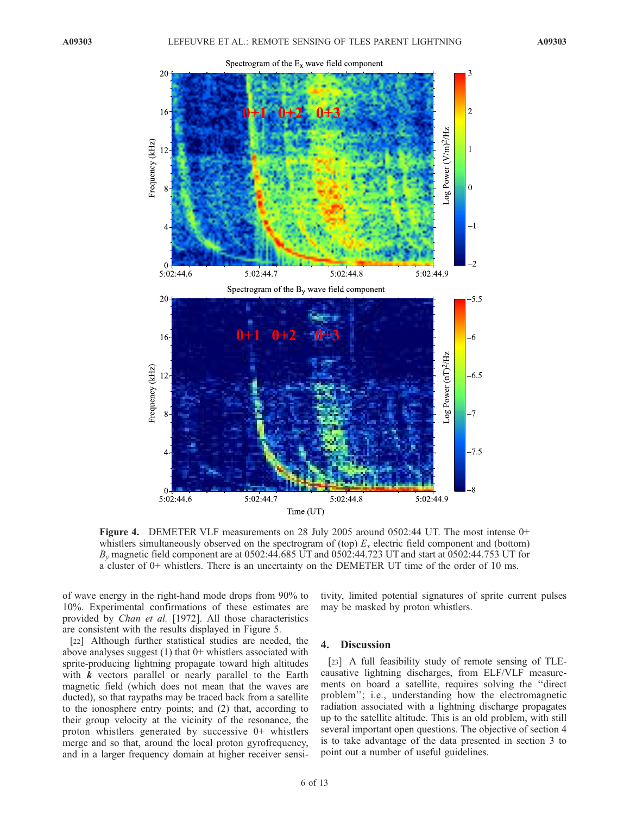

Figure 4. DEMETER VLF measurements on 28 July 2005 around 0502:44 UT. The most intense 0+ whistlers simultaneously observed on the spectrogram of (top)  $E_x$  electric field component and (bottom)  $B<sub>v</sub>$  magnetic field component are at 0502:44.685 UT and 0502:44.723 UT and start at 0502:44.753 UT for a cluster of 0+ whistlers. There is an uncertainty on the DEMETER UT time of the order of 10 ms.

of wave energy in the right-hand mode drops from 90% to 10%. Experimental confirmations of these estimates are provided by Chan et al. [1972]. All those characteristics are consistent with the results displayed in Figure 5.

[22] Although further statistical studies are needed, the above analyses suggest  $(1)$  that  $0+$  whistlers associated with sprite-producing lightning propagate toward high altitudes with  $k$  vectors parallel or nearly parallel to the Earth magnetic field (which does not mean that the waves are ducted), so that raypaths may be traced back from a satellite to the ionosphere entry points; and (2) that, according to their group velocity at the vicinity of the resonance, the proton whistlers generated by successive 0+ whistlers merge and so that, around the local proton gyrofrequency, and in a larger frequency domain at higher receiver sensi-

tivity, limited potential signatures of sprite current pulses may be masked by proton whistlers.

# 4. Discussion

[23] A full feasibility study of remote sensing of TLEcausative lightning discharges, from ELF/VLF measurements on board a satellite, requires solving the ''direct problem''; i.e., understanding how the electromagnetic radiation associated with a lightning discharge propagates up to the satellite altitude. This is an old problem, with still several important open questions. The objective of section 4 is to take advantage of the data presented in section 3 to point out a number of useful guidelines.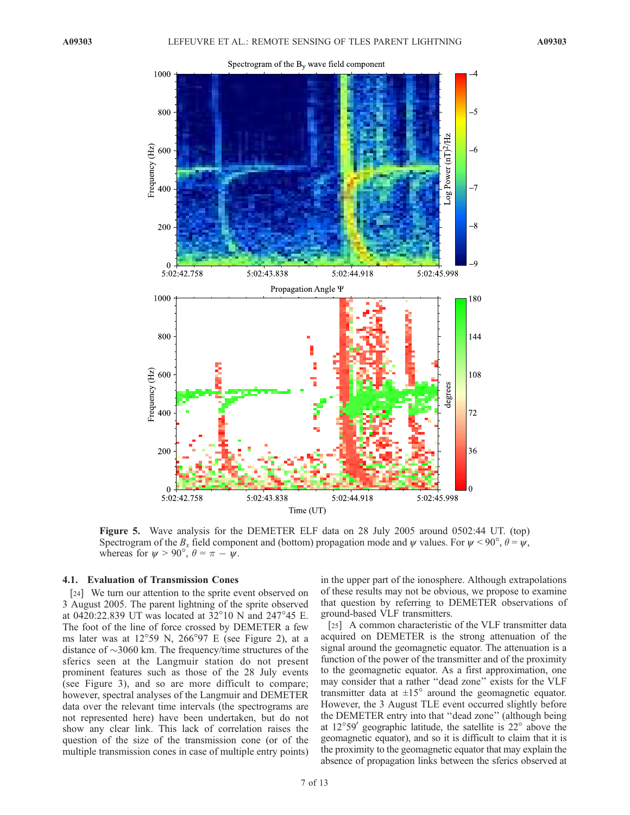

Figure 5. Wave analysis for the DEMETER ELF data on 28 July 2005 around 0502:44 UT. (top) Spectrogram of the  $B_x$  field component and (bottom) propagation mode and  $\psi$  values. For  $\psi < 90^\circ$ ,  $\theta = \psi$ , whereas for  $\psi > 90^{\circ}$ ,  $\theta = \pi - \psi$ .

#### 4.1. Evaluation of Transmission Cones

[24] We turn our attention to the sprite event observed on 3 August 2005. The parent lightning of the sprite observed at 0420:22.839 UT was located at  $32^{\circ}10$  N and 247°45 E. The foot of the line of force crossed by DEMETER a few ms later was at  $12^{\circ}59$  N,  $266^{\circ}97$  E (see Figure 2), at a distance of  $\sim$ 3060 km. The frequency/time structures of the sferics seen at the Langmuir station do not present prominent features such as those of the 28 July events (see Figure 3), and so are more difficult to compare; however, spectral analyses of the Langmuir and DEMETER data over the relevant time intervals (the spectrograms are not represented here) have been undertaken, but do not show any clear link. This lack of correlation raises the question of the size of the transmission cone (or of the multiple transmission cones in case of multiple entry points) in the upper part of the ionosphere. Although extrapolations of these results may not be obvious, we propose to examine that question by referring to DEMETER observations of ground-based VLF transmitters.

[25] A common characteristic of the VLF transmitter data acquired on DEMETER is the strong attenuation of the signal around the geomagnetic equator. The attenuation is a function of the power of the transmitter and of the proximity to the geomagnetic equator. As a first approximation, one may consider that a rather ''dead zone'' exists for the VLF transmitter data at  $\pm 15^{\circ}$  around the geomagnetic equator. However, the 3 August TLE event occurred slightly before the DEMETER entry into that ''dead zone'' (although being at  $12^{\circ}59'$  geographic latitude, the satellite is  $22^{\circ}$  above the geomagnetic equator), and so it is difficult to claim that it is the proximity to the geomagnetic equator that may explain the absence of propagation links between the sferics observed at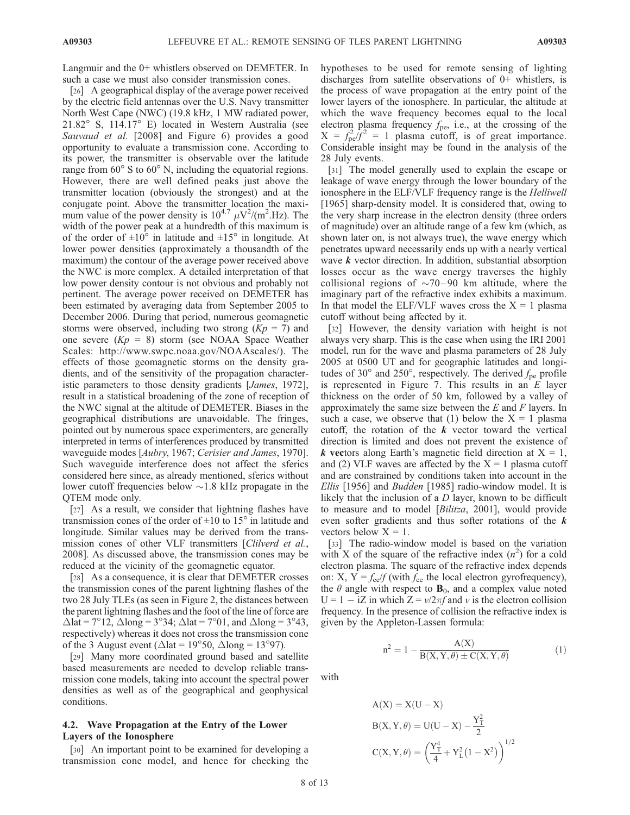Langmuir and the 0+ whistlers observed on DEMETER. In such a case we must also consider transmission cones.

[26] A geographical display of the average power received by the electric field antennas over the U.S. Navy transmitter North West Cape (NWC) (19.8 kHz, 1 MW radiated power,  $21.82^{\circ}$  S,  $114.17^{\circ}$  E) located in Western Australia (see Sauvaud et al. [2008] and Figure 6) provides a good opportunity to evaluate a transmission cone. According to its power, the transmitter is observable over the latitude range from  $60^{\circ}$  S to  $60^{\circ}$  N, including the equatorial regions. However, there are well defined peaks just above the transmitter location (obviously the strongest) and at the conjugate point. Above the transmitter location the maximum value of the power density is  $10^{4.7} \mu\text{V}^2/\text{(m}^2\text{.Hz})$ . The width of the power peak at a hundredth of this maximum is of the order of  $\pm 10^{\circ}$  in latitude and  $\pm 15^{\circ}$  in longitude. At lower power densities (approximately a thousandth of the maximum) the contour of the average power received above the NWC is more complex. A detailed interpretation of that low power density contour is not obvious and probably not pertinent. The average power received on DEMETER has been estimated by averaging data from September 2005 to December 2006. During that period, numerous geomagnetic storms were observed, including two strong  $(Kp = 7)$  and one severe  $(Kp = 8)$  storm (see NOAA Space Weather Scales: http://www.swpc.noaa.gov/NOAAscales/). The effects of those geomagnetic storms on the density gradients, and of the sensitivity of the propagation characteristic parameters to those density gradients [James, 1972], result in a statistical broadening of the zone of reception of the NWC signal at the altitude of DEMETER. Biases in the geographical distributions are unavoidable. The fringes, pointed out by numerous space experimenters, are generally interpreted in terms of interferences produced by transmitted waveguide modes [Aubry, 1967; Cerisier and James, 1970]. Such waveguide interference does not affect the sferics considered here since, as already mentioned, sferics without lower cutoff frequencies below  $\sim$  1.8 kHz propagate in the QTEM mode only.

[27] As a result, we consider that lightning flashes have transmission cones of the order of  $\pm 10$  to 15 $\degree$  in latitude and longitude. Similar values may be derived from the transmission cones of other VLF transmitters [Clilverd et al., 2008]. As discussed above, the transmission cones may be reduced at the vicinity of the geomagnetic equator.

[28] As a consequence, it is clear that DEMETER crosses the transmission cones of the parent lightning flashes of the two 28 July TLEs (as seen in Figure 2, the distances between the parent lightning flashes and the foot of the line of force are  $\Delta$ lat = 7°12,  $\Delta$ long = 3°34;  $\Delta$ lat = 7°01, and  $\Delta$ long = 3°43, respectively) whereas it does not cross the transmission cone of the 3 August event ( $\Delta$ lat = 19°50,  $\Delta$ long = 13°97).

[29] Many more coordinated ground based and satellite based measurements are needed to develop reliable transmission cone models, taking into account the spectral power densities as well as of the geographical and geophysical conditions.

# 4.2. Wave Propagation at the Entry of the Lower Layers of the Ionosphere

[30] An important point to be examined for developing a transmission cone model, and hence for checking the hypotheses to be used for remote sensing of lighting discharges from satellite observations of 0+ whistlers, is the process of wave propagation at the entry point of the lower layers of the ionosphere. In particular, the altitude at which the wave frequency becomes equal to the local electron plasma frequency  $f_{\text{pe}}$ , i.e., at the crossing of the  $X = f_{\text{pe}}^2/\hat{f}^2 = 1$  plasma cutoff, is of great importance. Considerable insight may be found in the analysis of the 28 July events.

[31] The model generally used to explain the escape or leakage of wave energy through the lower boundary of the ionosphere in the ELF/VLF frequency range is the Helliwell [1965] sharp-density model. It is considered that, owing to the very sharp increase in the electron density (three orders of magnitude) over an altitude range of a few km (which, as shown later on, is not always true), the wave energy which penetrates upward necessarily ends up with a nearly vertical wave  $k$  vector direction. In addition, substantial absorption losses occur as the wave energy traverses the highly collisional regions of  $\sim$ 70–90 km altitude, where the imaginary part of the refractive index exhibits a maximum. In that model the ELF/VLF waves cross the  $X = 1$  plasma cutoff without being affected by it.

[32] However, the density variation with height is not always very sharp. This is the case when using the IRI 2001 model, run for the wave and plasma parameters of 28 July 2005 at 0500 UT and for geographic latitudes and longitudes of 30 $^{\circ}$  and 250 $^{\circ}$ , respectively. The derived  $f_{\text{pe}}$  profile is represented in Figure 7. This results in an  $E$  layer thickness on the order of 50 km, followed by a valley of approximately the same size between the  $E$  and  $F$  layers. In such a case, we observe that (1) below the  $X = 1$  plasma cutoff, the rotation of the  $k$  vector toward the vertical direction is limited and does not prevent the existence of k vectors along Earth's magnetic field direction at  $X = 1$ , and (2) VLF waves are affected by the  $X = 1$  plasma cutoff and are constrained by conditions taken into account in the Ellis [1956] and Budden [1985] radio-window model. It is likely that the inclusion of a  $D$  layer, known to be difficult to measure and to model [Bilitza, 2001], would provide even softer gradients and thus softer rotations of the  $k$ vectors below  $X = 1$ .

[33] The radio-window model is based on the variation with X of the square of the refractive index  $(n^2)$  for a cold electron plasma. The square of the refractive index depends on: X,  $Y = f_{ce} / f$  (with  $f_{ce}$  the local electron gyrofrequency), the  $\theta$  angle with respect to  $\mathbf{B}_0$ , and a complex value noted  $U = 1 - iZ$  in which  $Z = v/2\pi f$  and v is the electron collision frequency. In the presence of collision the refractive index is given by the Appleton-Lassen formula:

$$
n^{2} = 1 - \frac{A(X)}{B(X, Y, \theta) \pm C(X, Y, \theta)}
$$
(1)

with

A(X) = X(U – X)  
\nB(X, Y, 
$$
\theta
$$
) = U(U – X) –  $\frac{Y_T^2}{2}$   
\nC(X, Y,  $\theta$ ) =  $\left(\frac{Y_T^4}{4} + Y_L^2(1 - X^2)\right)^{1/2}$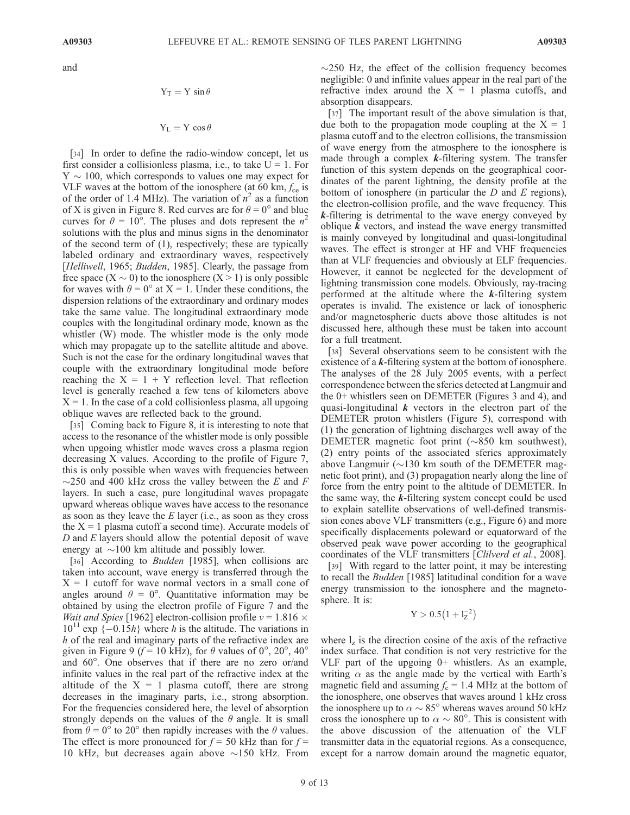and

$$
Y_T = Y \sin \theta
$$

 $Y_L = Y \cos \theta$ 

[34] In order to define the radio-window concept, let us first consider a collisionless plasma, i.e., to take  $U = 1$ . For  $Y \sim 100$ , which corresponds to values one may expect for VLF waves at the bottom of the ionosphere (at 60 km,  $f_{ce}$  is of the order of 1.4 MHz). The variation of  $n^2$  as a function of X is given in Figure 8. Red curves are for  $\theta = 0^{\circ}$  and blue curves for  $\theta = 10^{\circ}$ . The pluses and dots represent the  $n^2$ solutions with the plus and minus signs in the denominator of the second term of (1), respectively; these are typically labeled ordinary and extraordinary waves, respectively [Helliwell, 1965; Budden, 1985]. Clearly, the passage from free space  $(X \sim 0)$  to the ionosphere  $(X > 1)$  is only possible for waves with  $\theta = 0^{\circ}$  at X = 1. Under these conditions, the dispersion relations of the extraordinary and ordinary modes take the same value. The longitudinal extraordinary mode couples with the longitudinal ordinary mode, known as the whistler (W) mode. The whistler mode is the only mode which may propagate up to the satellite altitude and above. Such is not the case for the ordinary longitudinal waves that couple with the extraordinary longitudinal mode before reaching the  $X = 1 + Y$  reflection level. That reflection level is generally reached a few tens of kilometers above  $X = 1$ . In the case of a cold collisionless plasma, all upgoing oblique waves are reflected back to the ground.

[35] Coming back to Figure 8, it is interesting to note that access to the resonance of the whistler mode is only possible when upgoing whistler mode waves cross a plasma region decreasing X values. According to the profile of Figure 7, this is only possible when waves with frequencies between  $\sim$ 250 and 400 kHz cross the valley between the E and F layers. In such a case, pure longitudinal waves propagate upward whereas oblique waves have access to the resonance as soon as they leave the  $E$  layer (i.e., as soon as they cross the  $X = 1$  plasma cutoff a second time). Accurate models of  $D$  and  $E$  layers should allow the potential deposit of wave energy at  $\sim$ 100 km altitude and possibly lower.

[36] According to *Budden* [1985], when collisions are taken into account, wave energy is transferred through the  $X = 1$  cutoff for wave normal vectors in a small cone of angles around  $\theta = 0^\circ$ . Quantitative information may be obtained by using the electron profile of Figure 7 and the *Wait and Spies* [1962] electron-collision profile  $v = 1.816 \times$  $10^{11}$  exp {-0.15h} where h is the altitude. The variations in h of the real and imaginary parts of the refractive index are given in Figure 9 ( $f = 10$  kHz), for  $\theta$  values of 0°, 20°, 40° and  $60^\circ$ . One observes that if there are no zero or/and infinite values in the real part of the refractive index at the altitude of the  $X = 1$  plasma cutoff, there are strong decreases in the imaginary parts, i.e., strong absorption. For the frequencies considered here, the level of absorption strongly depends on the values of the  $\theta$  angle. It is small from  $\theta = 0^{\circ}$  to 20° then rapidly increases with the  $\theta$  values. The effect is more pronounced for  $f = 50$  kHz than for  $f =$ 10 kHz, but decreases again above  $\sim$ 150 kHz. From

 $\sim$ 250 Hz, the effect of the collision frequency becomes negligible: 0 and infinite values appear in the real part of the refractive index around the  $X = 1$  plasma cutoffs, and absorption disappears.

[37] The important result of the above simulation is that, due both to the propagation mode coupling at the  $X = 1$ plasma cutoff and to the electron collisions, the transmission of wave energy from the atmosphere to the ionosphere is made through a complex  $k$ -filtering system. The transfer function of this system depends on the geographical coordinates of the parent lightning, the density profile at the bottom of ionosphere (in particular the  $D$  and  $E$  regions), the electron-collision profile, and the wave frequency. This  $k$ -filtering is detrimental to the wave energy conveyed by oblique  $k$  vectors, and instead the wave energy transmitted is mainly conveyed by longitudinal and quasi-longitudinal waves. The effect is stronger at HF and VHF frequencies than at VLF frequencies and obviously at ELF frequencies. However, it cannot be neglected for the development of lightning transmission cone models. Obviously, ray-tracing performed at the altitude where the  $k$ -filtering system operates is invalid. The existence or lack of ionospheric and/or magnetospheric ducts above those altitudes is not discussed here, although these must be taken into account for a full treatment.

[38] Several observations seem to be consistent with the existence of a  $k$ -filtering system at the bottom of ionosphere. The analyses of the 28 July 2005 events, with a perfect correspondence between the sferics detected at Langmuir and the 0+ whistlers seen on DEMETER (Figures 3 and 4), and quasi-longitudinal  $k$  vectors in the electron part of the DEMETER proton whistlers (Figure 5), correspond with (1) the generation of lightning discharges well away of the DEMETER magnetic foot print  $(\sim 850 \text{ km} \text{ southwest})$ , (2) entry points of the associated sferics approximately above Langmuir ( $\sim$ 130 km south of the DEMETER magnetic foot print), and (3) propagation nearly along the line of force from the entry point to the altitude of DEMETER. In the same way, the  $k$ -filtering system concept could be used to explain satellite observations of well-defined transmission cones above VLF transmitters (e.g., Figure 6) and more specifically displacements poleward or equatorward of the observed peak wave power according to the geographical coordinates of the VLF transmitters [Clilverd et al., 2008].

[39] With regard to the latter point, it may be interesting to recall the Budden [1985] latitudinal condition for a wave energy transmission to the ionosphere and the magnetosphere. It is:

$$
Y>0.5\big(1+l_Z^{-2}\big)
$$

where  $l_z$  is the direction cosine of the axis of the refractive index surface. That condition is not very restrictive for the VLF part of the upgoing 0+ whistlers. As an example, writing  $\alpha$  as the angle made by the vertical with Earth's magnetic field and assuming  $f_c = 1.4$  MHz at the bottom of the ionosphere, one observes that waves around 1 kHz cross the ionosphere up to  $\alpha \sim 85^\circ$  whereas waves around 50 kHz cross the ionosphere up to  $\alpha \sim 80^{\circ}$ . This is consistent with the above discussion of the attenuation of the VLF transmitter data in the equatorial regions. As a consequence, except for a narrow domain around the magnetic equator,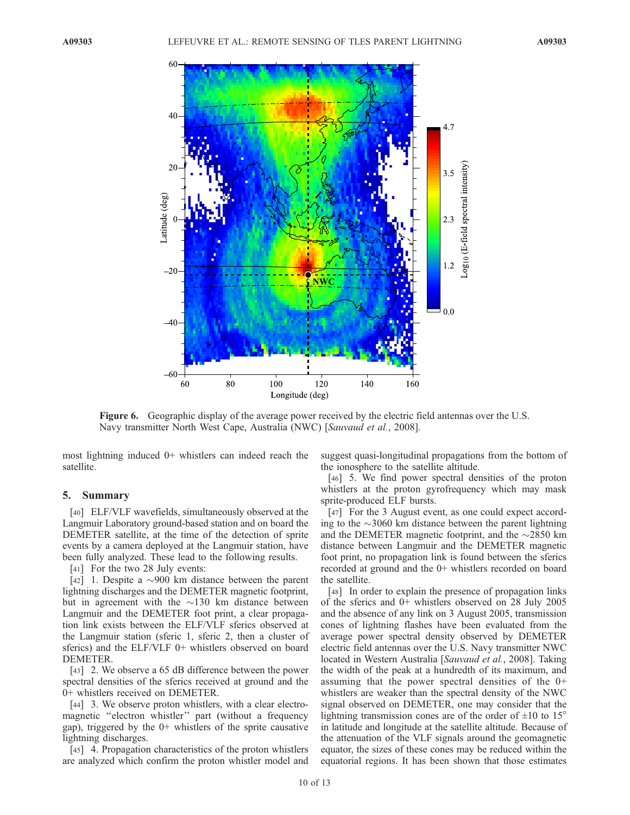

Figure 6. Geographic display of the average power received by the electric field antennas over the U.S. Navy transmitter North West Cape, Australia (NWC) [Sauvaud et al., 2008].

most lightning induced 0+ whistlers can indeed reach the satellite.

#### 5. Summary

[40] ELF/VLF wavefields, simultaneously observed at the Langmuir Laboratory ground-based station and on board the DEMETER satellite, at the time of the detection of sprite events by a camera deployed at the Langmuir station, have been fully analyzed. These lead to the following results.

[41] For the two 28 July events:

[42] 1. Despite a  $\sim$ 900 km distance between the parent lightning discharges and the DEMETER magnetic footprint, but in agreement with the  $\sim$ 130 km distance between Langmuir and the DEMETER foot print, a clear propagation link exists between the ELF/VLF sferics observed at the Langmuir station (sferic 1, sferic 2, then a cluster of sferics) and the ELF/VLF 0+ whistlers observed on board DEMETER.

[43] 2. We observe a 65 dB difference between the power spectral densities of the sferics received at ground and the 0+ whistlers received on DEMETER.

[44] 3. We observe proton whistlers, with a clear electromagnetic ''electron whistler'' part (without a frequency gap), triggered by the 0+ whistlers of the sprite causative lightning discharges.

[45] 4. Propagation characteristics of the proton whistlers are analyzed which confirm the proton whistler model and suggest quasi-longitudinal propagations from the bottom of the ionosphere to the satellite altitude.

[46] 5. We find power spectral densities of the proton whistlers at the proton gyrofrequency which may mask sprite-produced ELF bursts.

[47] For the 3 August event, as one could expect according to the  $\sim$ 3060 km distance between the parent lightning and the DEMETER magnetic footprint, and the  $\sim$ 2850 km distance between Langmuir and the DEMETER magnetic foot print, no propagation link is found between the sferics recorded at ground and the 0+ whistlers recorded on board the satellite.

[48] In order to explain the presence of propagation links of the sferics and 0+ whistlers observed on 28 July 2005 and the absence of any link on 3 August 2005, transmission cones of lightning flashes have been evaluated from the average power spectral density observed by DEMETER electric field antennas over the U.S. Navy transmitter NWC located in Western Australia [Sauvaud et al., 2008]. Taking the width of the peak at a hundredth of its maximum, and assuming that the power spectral densities of the 0+ whistlers are weaker than the spectral density of the NWC signal observed on DEMETER, one may consider that the lightning transmission cones are of the order of  $\pm 10$  to 15<sup>°</sup> in latitude and longitude at the satellite altitude. Because of the attenuation of the VLF signals around the geomagnetic equator, the sizes of these cones may be reduced within the equatorial regions. It has been shown that those estimates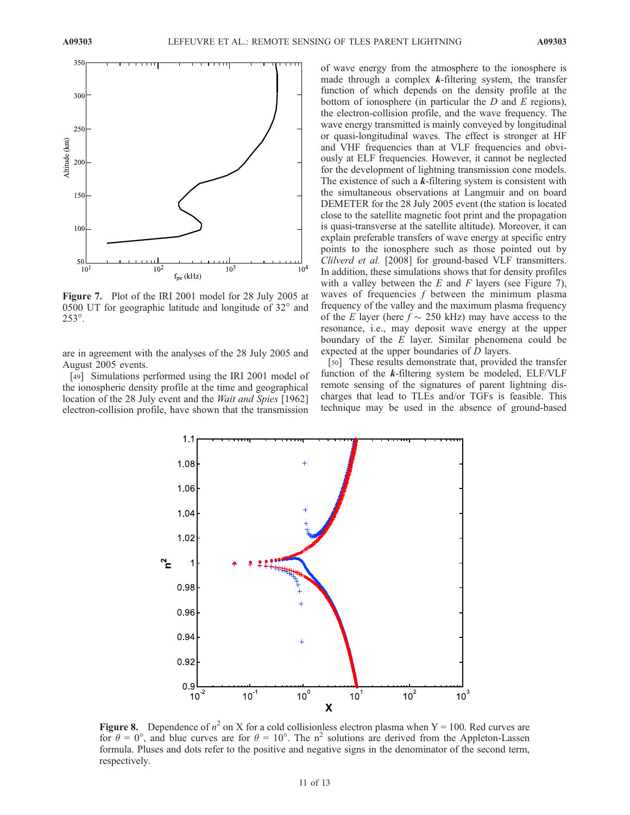

Figure 7. Plot of the IRI 2001 model for 28 July 2005 at 0500 UT for geographic latitude and longitude of  $32^{\circ}$  and 253°.

are in agreement with the analyses of the 28 July 2005 and August 2005 events.

[49] Simulations performed using the IRI 2001 model of the ionospheric density profile at the time and geographical location of the 28 July event and the Wait and Spies [1962] electron-collision profile, have shown that the transmission

of wave energy from the atmosphere to the ionosphere is made through a complex  $k$ -filtering system, the transfer function of which depends on the density profile at the bottom of ionosphere (in particular the  $D$  and  $E$  regions), the electron-collision profile, and the wave frequency. The wave energy transmitted is mainly conveyed by longitudinal or quasi-longitudinal waves. The effect is stronger at HF and VHF frequencies than at VLF frequencies and obviously at ELF frequencies. However, it cannot be neglected for the development of lightning transmission cone models. The existence of such a  $k$ -filtering system is consistent with the simultaneous observations at Langmuir and on board DEMETER for the 28 July 2005 event (the station is located close to the satellite magnetic foot print and the propagation is quasi-transverse at the satellite altitude). Moreover, it can explain preferable transfers of wave energy at specific entry points to the ionosphere such as those pointed out by Clilverd et al. [2008] for ground-based VLF transmitters. In addition, these simulations shows that for density profiles with a valley between the  $E$  and  $F$  layers (see Figure 7), waves of frequencies  $f$  between the minimum plasma frequency of the valley and the maximum plasma frequency of the E layer (here  $f \sim 250$  kHz) may have access to the resonance, i.e., may deposit wave energy at the upper boundary of the E layer. Similar phenomena could be expected at the upper boundaries of D layers.

[50] These results demonstrate that, provided the transfer function of the  $k$ -filtering system be modeled, ELF/VLF remote sensing of the signatures of parent lightning discharges that lead to TLEs and/or TGFs is feasible. This technique may be used in the absence of ground-based



Figure 8. Dependence of  $n^2$  on X for a cold collisionless electron plasma when Y = 100. Red curves are for  $\theta = 0^{\circ}$ , and blue curves are for  $\theta = 10^{\circ}$ . The n<sup>2</sup> solutions are derived from the Appleton-Lassen formula. Pluses and dots refer to the positive and negative signs in the denominator of the second term, respectively.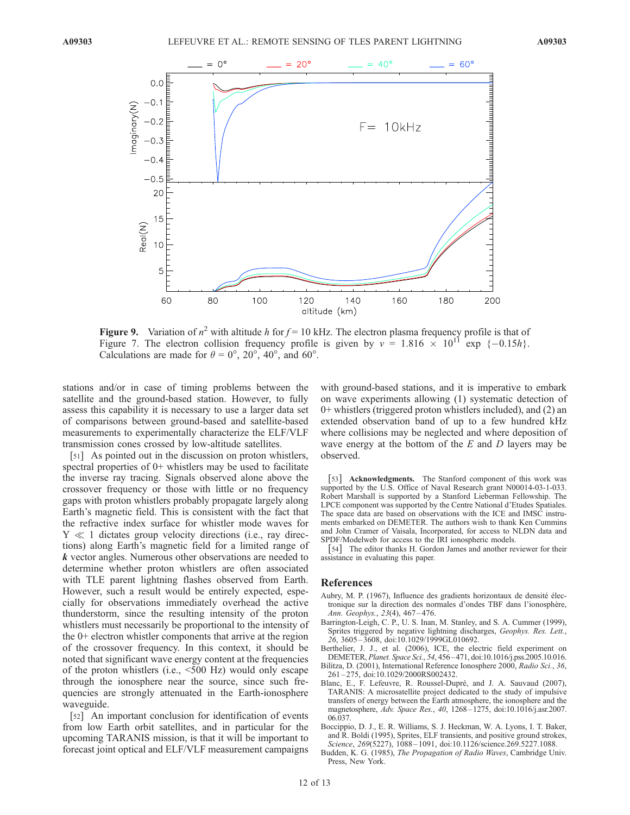

Figure 9. Variation of  $n^2$  with altitude h for  $f = 10$  kHz. The electron plasma frequency profile is that of Figure 7. The electron collision frequency profile is given by  $v = 1.816 \times 10^{11}$  exp  $\{-0.15h\}$ . Calculations are made for  $\theta = 0^{\circ}$ ,  $20^{\circ}$ ,  $40^{\circ}$ , and  $60^{\circ}$ .

stations and/or in case of timing problems between the satellite and the ground-based station. However, to fully assess this capability it is necessary to use a larger data set of comparisons between ground-based and satellite-based measurements to experimentally characterize the ELF/VLF transmission cones crossed by low-altitude satellites.

[51] As pointed out in the discussion on proton whistlers, spectral properties of 0+ whistlers may be used to facilitate the inverse ray tracing. Signals observed alone above the crossover frequency or those with little or no frequency gaps with proton whistlers probably propagate largely along Earth's magnetic field. This is consistent with the fact that the refractive index surface for whistler mode waves for  $Y \ll 1$  dictates group velocity directions (i.e., ray directions) along Earth's magnetic field for a limited range of k vector angles. Numerous other observations are needed to determine whether proton whistlers are often associated with TLE parent lightning flashes observed from Earth. However, such a result would be entirely expected, especially for observations immediately overhead the active thunderstorm, since the resulting intensity of the proton whistlers must necessarily be proportional to the intensity of the 0+ electron whistler components that arrive at the region of the crossover frequency. In this context, it should be noted that significant wave energy content at the frequencies of the proton whistlers (i.e., <500 Hz) would only escape through the ionosphere near the source, since such frequencies are strongly attenuated in the Earth-ionosphere waveguide.

[52] An important conclusion for identification of events from low Earth orbit satellites, and in particular for the upcoming TARANIS mission, is that it will be important to forecast joint optical and ELF/VLF measurement campaigns

with ground-based stations, and it is imperative to embark on wave experiments allowing (1) systematic detection of 0+ whistlers (triggered proton whistlers included), and (2) an extended observation band of up to a few hundred kHz where collisions may be neglected and where deposition of wave energy at the bottom of the  $E$  and  $D$  layers may be observed.

[53] Acknowledgments. The Stanford component of this work was supported by the U.S. Office of Naval Research grant N00014-03-1-033. Robert Marshall is supported by a Stanford Lieberman Fellowship. The LPCE component was supported by the Centre National d'Etudes Spatiales. The space data are based on observations with the ICE and IMSC instruments embarked on DEMETER. The authors wish to thank Ken Cummins and John Cramer of Vaisala, Incorporated, for access to NLDN data and SPDF/Modelweb for access to the IRI ionospheric models.

[54] The editor thanks H. Gordon James and another reviewer for their assistance in evaluating this paper.

#### References

- Aubry, M. P. (1967), Influence des gradients horizontaux de densité électronique sur la direction des normales d'ondes TBF dans l'ionosphère, Ann. Geophys., 23(4), 467 – 476.
- Barrington-Leigh, C. P., U. S. Inan, M. Stanley, and S. A. Cummer (1999), Sprites triggered by negative lightning discharges, Geophys. Res. Lett., 26, 3605 – 3608, doi:10.1029/1999GL010692.
- Berthelier, J. J., et al. (2006), ICE, the electric field experiment on DEMETER, Planet. Space Sci., 54, 456– 471, doi:10.1016/j.pss.2005.10.016.
- Bilitza, D. (2001), International Reference Ionosphere 2000, Radio Sci., 36, 261 – 275, doi:10.1029/2000RS002432.
- Blanc, E., F. Lefeuvre, R. Roussel-Dupré, and J. A. Sauvaud (2007), TARANIS: A microsatellite project dedicated to the study of impulsive transfers of energy between the Earth atmosphere, the ionosphere and the magnetosphere, Adv. Space Res., 40, 1268–1275, doi:10.1016/j.asr.2007. 06.037.
- Boccippio, D. J., E. R. Williams, S. J. Heckman, W. A. Lyons, I. T. Baker, and R. Boldi (1995), Sprites, ELF transients, and positive ground strokes, Science, 269(5227), 1088-1091, doi:10.1126/science.269.5227.1088.
- Budden, K. G. (1985), The Propagation of Radio Waves, Cambridge Univ. Press, New York.